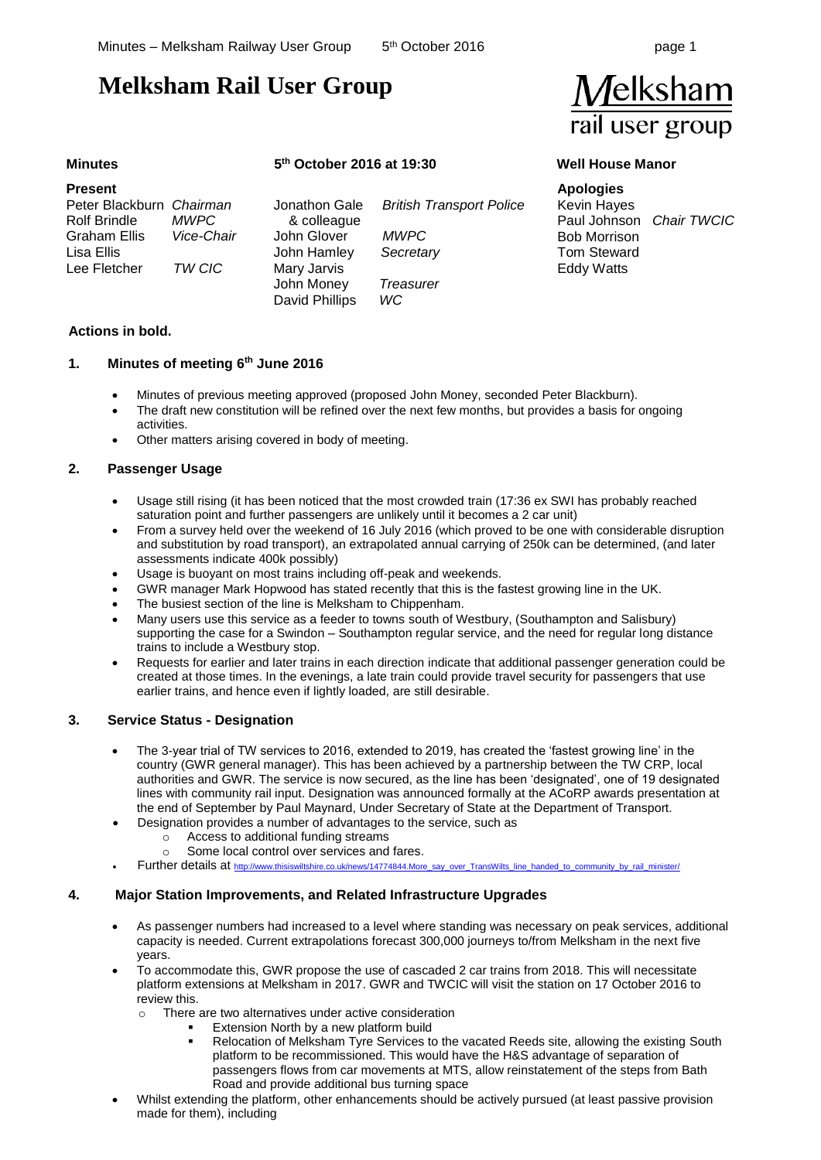## **Melksham Rail User Group**

# $\sqrt{}$ elksham rail user group

### **Minutes 5**

### **th October 2016 at 19:30 Well House Manor**

| <b>Present</b>           |             |                |                                 |
|--------------------------|-------------|----------------|---------------------------------|
| Peter Blackburn Chairman |             | Jonathon Gale  | <b>British Transport Police</b> |
| <b>Rolf Brindle</b>      | <i>MWPC</i> | & colleague    |                                 |
| <b>Graham Ellis</b>      | Vice-Chair  | John Glover    | <i>MWPC</i>                     |
| Lisa Ellis               |             | John Hamley    | Secretary                       |
| Lee Fletcher             | TW CIC      | Mary Jarvis    |                                 |
|                          |             | John Money     | Treasurer                       |
|                          |             | David Phillips | WC                              |

### **Actions in bold.**

### **1. Minutes of meeting 6 th June 2016**

- Minutes of previous meeting approved (proposed John Money, seconded Peter Blackburn).
- The draft new constitution will be refined over the next few months, but provides a basis for ongoing activities.
- Other matters arising covered in body of meeting.

### **2. Passenger Usage**

- Usage still rising (it has been noticed that the most crowded train (17:36 ex SWI has probably reached saturation point and further passengers are unlikely until it becomes a 2 car unit)
- From a survey held over the weekend of 16 July 2016 (which proved to be one with considerable disruption and substitution by road transport), an extrapolated annual carrying of 250k can be determined, (and later assessments indicate 400k possibly)
- Usage is buoyant on most trains including off-peak and weekends.
- GWR manager Mark Hopwood has stated recently that this is the fastest growing line in the UK.
- The busiest section of the line is Melksham to Chippenham.
- Many users use this service as a feeder to towns south of Westbury, (Southampton and Salisbury) supporting the case for a Swindon – Southampton regular service, and the need for regular long distance trains to include a Westbury stop.
- Requests for earlier and later trains in each direction indicate that additional passenger generation could be created at those times. In the evenings, a late train could provide travel security for passengers that use earlier trains, and hence even if lightly loaded, are still desirable.

### **3. Service Status - Designation**

- The 3-year trial of TW services to 2016, extended to 2019, has created the 'fastest growing line' in the country (GWR general manager). This has been achieved by a partnership between the TW CRP, local authorities and GWR. The service is now secured, as the line has been 'designated', one of 19 designated lines with community rail input. Designation was announced formally at the ACoRP awards presentation at the end of September by Paul Maynard, Under Secretary of State at the Department of Transport.
	- Designation provides a number of advantages to the service, such as
		- o Access to additional funding streams
		- o Some local control over services and fares.
	- Further details at [http://www.thisiswiltshire.co.uk/news/14774844.More\\_say\\_over\\_TransWilts\\_line\\_handed\\_to\\_community\\_by\\_rail\\_minister/](http://www.thisiswiltshire.co.uk/news/14774844.More_say_over_TransWilts_line_handed_to_community_by_rail_minister/)

### **4. Major Station Improvements, and Related Infrastructure Upgrades**

- As passenger numbers had increased to a level where standing was necessary on peak services, additional capacity is needed. Current extrapolations forecast 300,000 journeys to/from Melksham in the next five years.
- To accommodate this, GWR propose the use of cascaded 2 car trains from 2018. This will necessitate platform extensions at Melksham in 2017. GWR and TWCIC will visit the station on 17 October 2016 to review this.
	- o There are two alternatives under active consideration
		- Extension North by a new platform build
			- Relocation of Melksham Tyre Services to the vacated Reeds site, allowing the existing South platform to be recommissioned. This would have the H&S advantage of separation of passengers flows from car movements at MTS, allow reinstatement of the steps from Bath Road and provide additional bus turning space
- Whilst extending the platform, other enhancements should be actively pursued (at least passive provision made for them), including

**Apologies** Kevin Hayes Paul Johnson *Chair TWCIC* Bob Morrison Tom Steward Eddy Watts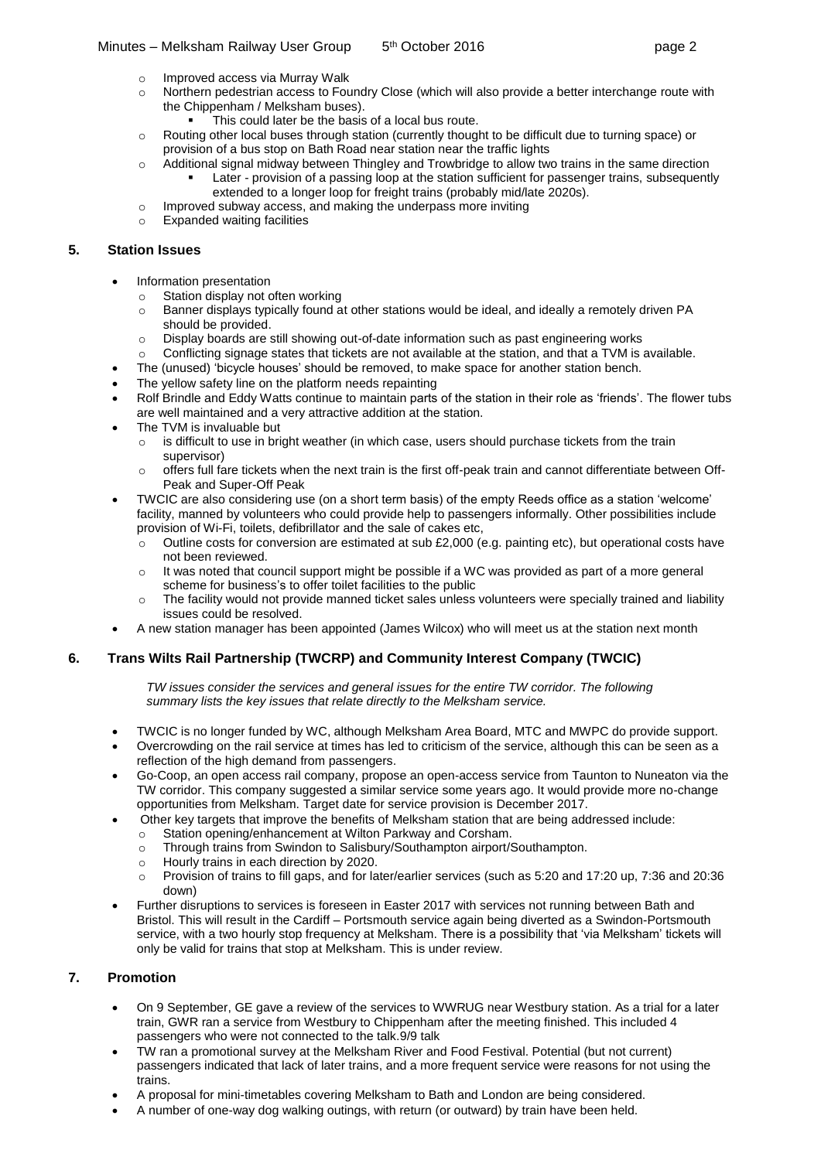### Minutes – Melksham Railway User Group 5 5<sup>th</sup> October 2016 **page 2**

- o Improved access via Murray Walk
- o Northern pedestrian access to Foundry Close (which will also provide a better interchange route with the Chippenham / Melksham buses).
	- This could later be the basis of a local bus route.
- o Routing other local buses through station (currently thought to be difficult due to turning space) or provision of a bus stop on Bath Road near station near the traffic lights
- $\circ$  Additional signal midway between Thingley and Trowbridge to allow two trains in the same direction Later - provision of a passing loop at the station sufficient for passenger trains, subsequently
	- extended to a longer loop for freight trains (probably mid/late 2020s).
- o Improved subway access, and making the underpass more inviting
- o Expanded waiting facilities

### **5. Station Issues**

- Information presentation
	- o Station display not often working
	- o Banner displays typically found at other stations would be ideal, and ideally a remotely driven PA should be provided.
	- o Display boards are still showing out-of-date information such as past engineering works
	- o Conflicting signage states that tickets are not available at the station, and that a TVM is available.
- The (unused) 'bicycle houses' should be removed, to make space for another station bench.
- The yellow safety line on the platform needs repainting
- Rolf Brindle and Eddy Watts continue to maintain parts of the station in their role as 'friends'. The flower tubs are well maintained and a very attractive addition at the station.
- The TVM is invaluable but
	- o is difficult to use in bright weather (in which case, users should purchase tickets from the train supervisor)
	- $\circ$  offers full fare tickets when the next train is the first off-peak train and cannot differentiate between Off-Peak and Super-Off Peak
- TWCIC are also considering use (on a short term basis) of the empty Reeds office as a station 'welcome' facility, manned by volunteers who could provide help to passengers informally. Other possibilities include provision of Wi-Fi, toilets, defibrillator and the sale of cakes etc,
	- $\circ$  Outline costs for conversion are estimated at sub £2,000 (e.g. painting etc), but operational costs have not been reviewed.
	- $\circ$  It was noted that council support might be possible if a WC was provided as part of a more general scheme for business's to offer toilet facilities to the public
	- $\circ$  The facility would not provide manned ticket sales unless volunteers were specially trained and liability issues could be resolved.
- A new station manager has been appointed (James Wilcox) who will meet us at the station next month

### **6. Trans Wilts Rail Partnership (TWCRP) and Community Interest Company (TWCIC)**

*TW issues consider the services and general issues for the entire TW corridor. The following summary lists the key issues that relate directly to the Melksham service.*

- TWCIC is no longer funded by WC, although Melksham Area Board, MTC and MWPC do provide support.
- Overcrowding on the rail service at times has led to criticism of the service, although this can be seen as a reflection of the high demand from passengers.
- Go-Coop, an open access rail company, propose an open-access service from Taunton to Nuneaton via the TW corridor. This company suggested a similar service some years ago. It would provide more no-change opportunities from Melksham. Target date for service provision is December 2017.
- Other key targets that improve the benefits of Melksham station that are being addressed include:
- o Station opening/enhancement at Wilton Parkway and Corsham.
- o Through trains from Swindon to Salisbury/Southampton airport/Southampton.
- o Hourly trains in each direction by 2020.
- o Provision of trains to fill gaps, and for later/earlier services (such as 5:20 and 17:20 up, 7:36 and 20:36 down)
- Further disruptions to services is foreseen in Easter 2017 with services not running between Bath and Bristol. This will result in the Cardiff – Portsmouth service again being diverted as a Swindon-Portsmouth service, with a two hourly stop frequency at Melksham. There is a possibility that 'via Melksham' tickets will only be valid for trains that stop at Melksham. This is under review.

### **7. Promotion**

- On 9 September, GE gave a review of the services to WWRUG near Westbury station. As a trial for a later train, GWR ran a service from Westbury to Chippenham after the meeting finished. This included 4 passengers who were not connected to the talk.9/9 talk
- TW ran a promotional survey at the Melksham River and Food Festival. Potential (but not current) passengers indicated that lack of later trains, and a more frequent service were reasons for not using the trains.
- A proposal for mini-timetables covering Melksham to Bath and London are being considered.
- A number of one-way dog walking outings, with return (or outward) by train have been held.